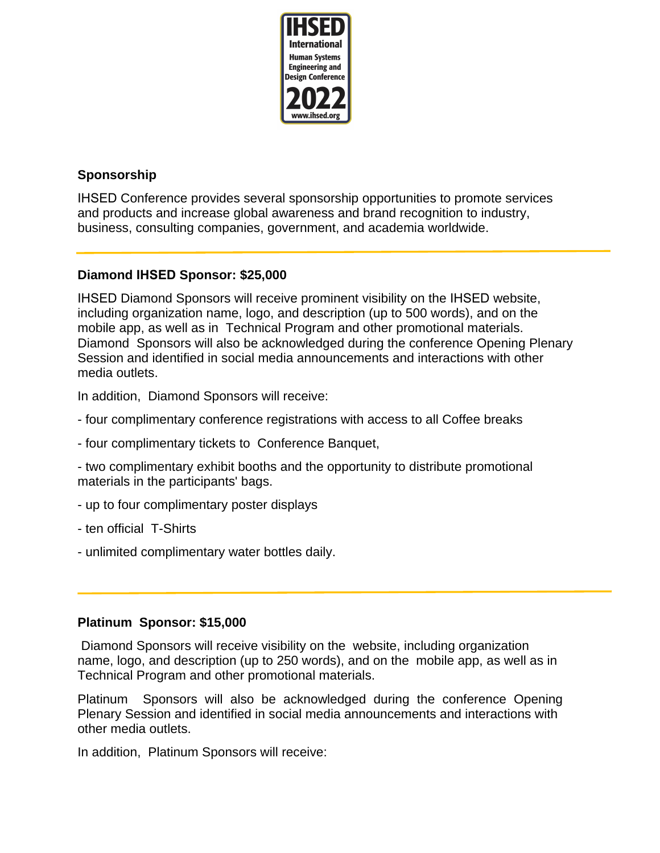

# **Sponsorship**

IHSED Conference provides several sponsorship opportunities to promote services and products and increase global awareness and brand recognition to industry, business, consulting companies, government, and academia worldwide.

## **Diamond IHSED Sponsor: \$25,000**

IHSED Diamond Sponsors will receive prominent visibility on the IHSED website, including organization name, logo, and description (up to 500 words), and on the mobile app, as well as in Technical Program and other promotional materials. Diamond Sponsors will also be acknowledged during the conference Opening Plenary Session and identified in social media announcements and interactions with other media outlets.

In addition, Diamond Sponsors will receive:

- four complimentary conference registrations with access to all Coffee breaks
- four complimentary tickets to Conference Banquet,
- two complimentary exhibit booths and the opportunity to distribute promotional materials in the participants' bags.
- up to four complimentary poster displays
- ten official T-Shirts
- unlimited complimentary water bottles daily.

### **Platinum Sponsor: \$15,000**

 Diamond Sponsors will receive visibility on the website, including organization name, logo, and description (up to 250 words), and on the mobile app, as well as in Technical Program and other promotional materials.

Platinum Sponsors will also be acknowledged during the conference Opening Plenary Session and identified in social media announcements and interactions with other media outlets.

In addition, Platinum Sponsors will receive: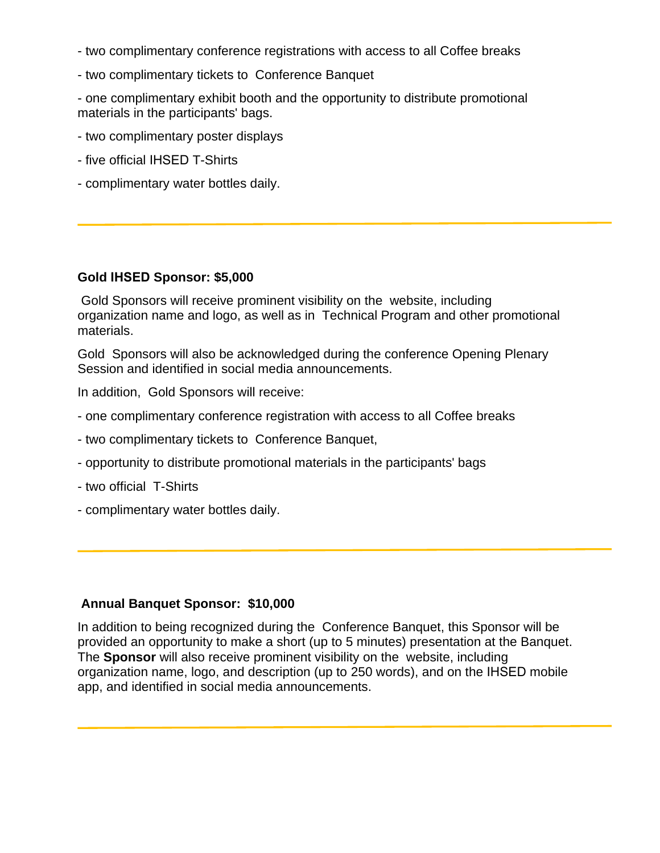- two complimentary conference registrations with access to all Coffee breaks
- two complimentary tickets to Conference Banquet

- one complimentary exhibit booth and the opportunity to distribute promotional materials in the participants' bags.

- two complimentary poster displays
- five official IHSED T-Shirts
- complimentary water bottles daily.

### **Gold IHSED Sponsor: \$5,000**

 Gold Sponsors will receive prominent visibility on the website, including organization name and logo, as well as in Technical Program and other promotional materials.

Gold Sponsors will also be acknowledged during the conference Opening Plenary Session and identified in social media announcements.

In addition, Gold Sponsors will receive:

- one complimentary conference registration with access to all Coffee breaks
- two complimentary tickets to Conference Banquet,
- opportunity to distribute promotional materials in the participants' bags
- two official T-Shirts
- complimentary water bottles daily.

#### **Annual Banquet Sponsor: \$10,000**

In addition to being recognized during the Conference Banquet, this Sponsor will be provided an opportunity to make a short (up to 5 minutes) presentation at the Banquet. The **Sponsor** will also receive prominent visibility on the website, including organization name, logo, and description (up to 250 words), and on the IHSED mobile app, and identified in social media announcements.